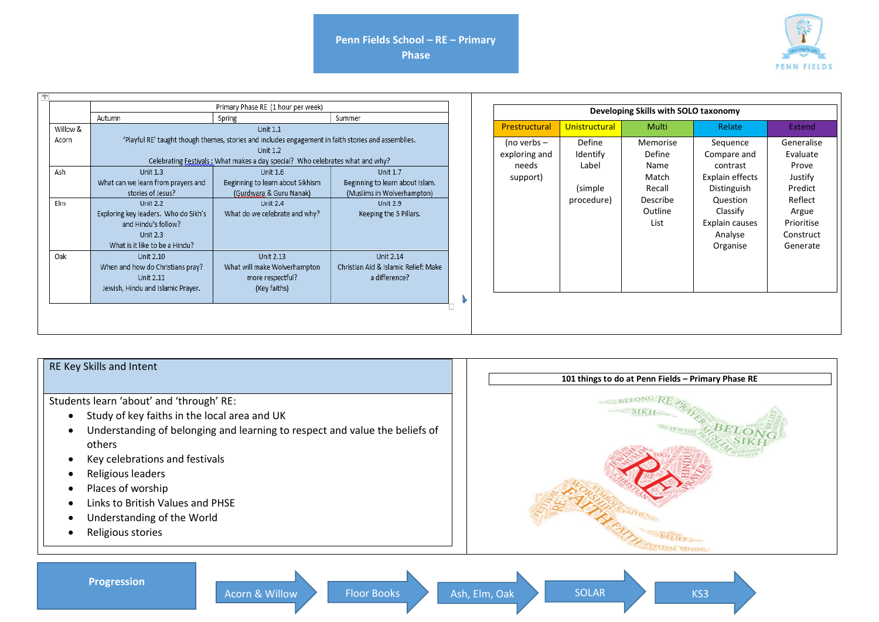**Phase**



|          | Primary Phase RE (1 hour per week)   |                                                                                                                                                                                                         |                                      |               | Developing Skills with SOLO taxonomy |          |  |
|----------|--------------------------------------|---------------------------------------------------------------------------------------------------------------------------------------------------------------------------------------------------------|--------------------------------------|---------------|--------------------------------------|----------|--|
|          | Autumn                               | Spring                                                                                                                                                                                                  | Summer                               |               |                                      |          |  |
| Willow & |                                      | <b>Unit 1.1</b>                                                                                                                                                                                         |                                      | Prestructural | Unistructural                        | Multi    |  |
| Acorn    |                                      | 'Playful RE' taught though themes, stories and includes engagement in faith stories and assemblies.<br><b>Unit 1.2</b><br>Celebrating Festivals: What makes a day special? Who celebrates what and why? |                                      | (no verbs $-$ | Define                               | Memorise |  |
|          |                                      |                                                                                                                                                                                                         |                                      | exploring and | Identify                             | Define   |  |
|          |                                      |                                                                                                                                                                                                         |                                      | needs         | Label                                | Name     |  |
|          | <b>Unit 1.3</b>                      | Unit 1.6                                                                                                                                                                                                | <b>Unit 1.7</b>                      |               |                                      |          |  |
|          | What can we learn from prayers and   | Beginning to learn about Sikhism                                                                                                                                                                        | Beginning to learn about Islam.      | support)      |                                      | Match    |  |
|          | stories of Jesus?                    | (Gurdwara & Guru Nanak)                                                                                                                                                                                 | (Muslims in Wolverhampton)           |               | (simple)                             | Recall   |  |
| Elm      | <b>Unit 2.2</b>                      | <b>Unit 2.4</b>                                                                                                                                                                                         | <b>Unit 2.9</b>                      |               | procedure)                           | Describe |  |
|          | Exploring key leaders. Who do Sikh's | What do we celebrate and why?                                                                                                                                                                           | Keeping the 5 Pillars.               |               |                                      | Outline  |  |
|          | and Hindu's follow?                  |                                                                                                                                                                                                         |                                      |               |                                      | List     |  |
|          | <b>Unit 2.3</b>                      |                                                                                                                                                                                                         |                                      |               |                                      |          |  |
|          | What is it like to be a Hindu?       |                                                                                                                                                                                                         |                                      |               |                                      |          |  |
|          | Unit 2.10                            | Unit 2.13                                                                                                                                                                                               | Unit 2.14                            |               |                                      |          |  |
|          | When and how do Christians pray?     | What will make Wolverhampton                                                                                                                                                                            | Christian Aid & Islamic Relief: Make |               |                                      |          |  |
|          | Unit 2.11                            | more respectful?                                                                                                                                                                                        | a difference?                        |               |                                      |          |  |
|          | Jewish, Hindu and Islamic Prayer.    | (Key faiths)                                                                                                                                                                                            |                                      |               |                                      |          |  |
|          |                                      |                                                                                                                                                                                                         |                                      |               |                                      |          |  |